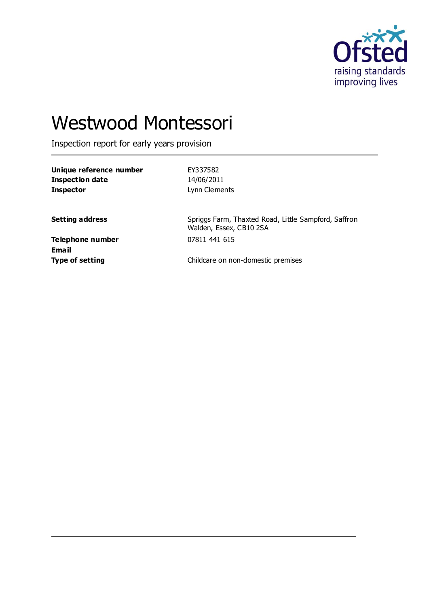

# Westwood Montessori

Inspection report for early years provision

| Unique reference number | EY337582      |
|-------------------------|---------------|
| Inspection date         | 14/06/2011    |
| <b>Inspector</b>        | Lynn Clements |

**Setting address** Spriggs Farm, Thaxted Road, Little Sampford, Saffron Walden, Essex, CB10 2SA

**Telephone number** 07811 441 615 **Email**

**Type of setting** Childcare on non-domestic premises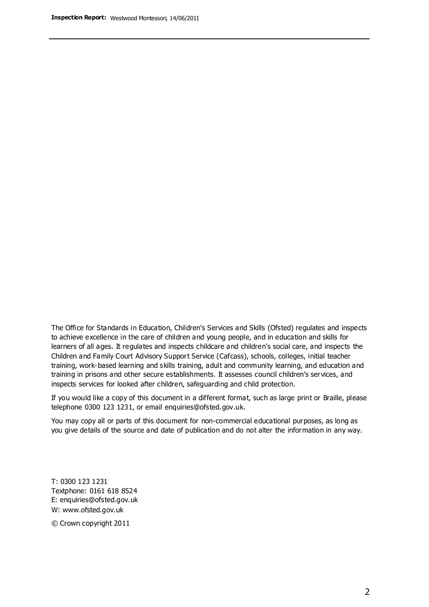The Office for Standards in Education, Children's Services and Skills (Ofsted) regulates and inspects to achieve excellence in the care of children and young people, and in education and skills for learners of all ages. It regulates and inspects childcare and children's social care, and inspects the Children and Family Court Advisory Support Service (Cafcass), schools, colleges, initial teacher training, work-based learning and skills training, adult and community learning, and education and training in prisons and other secure establishments. It assesses council children's services, and inspects services for looked after children, safeguarding and child protection.

If you would like a copy of this document in a different format, such as large print or Braille, please telephone 0300 123 1231, or email enquiries@ofsted.gov.uk.

You may copy all or parts of this document for non-commercial educational purposes, as long as you give details of the source and date of publication and do not alter the information in any way.

T: 0300 123 1231 Textphone: 0161 618 8524 E: enquiries@ofsted.gov.uk W: [www.ofsted.gov.uk](http://www.ofsted.gov.uk/)

© Crown copyright 2011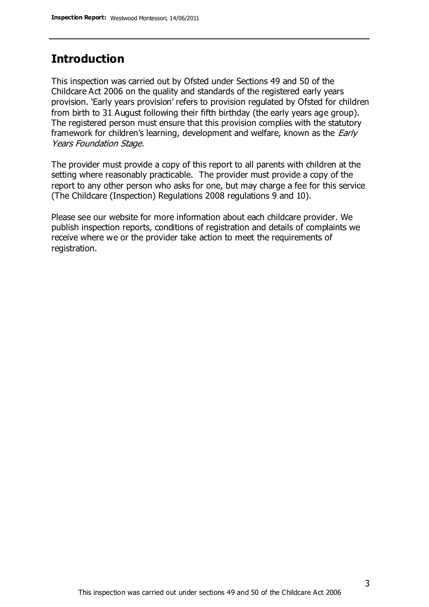## **Introduction**

This inspection was carried out by Ofsted under Sections 49 and 50 of the Childcare Act 2006 on the quality and standards of the registered early years provision. 'Early years provision' refers to provision regulated by Ofsted for children from birth to 31 August following their fifth birthday (the early years age group). The registered person must ensure that this provision complies with the statutory framework for children's learning, development and welfare, known as the *Early* Years Foundation Stage.

The provider must provide a copy of this report to all parents with children at the setting where reasonably practicable. The provider must provide a copy of the report to any other person who asks for one, but may charge a fee for this service (The Childcare (Inspection) Regulations 2008 regulations 9 and 10).

Please see our website for more information about each childcare provider. We publish inspection reports, conditions of registration and details of complaints we receive where we or the provider take action to meet the requirements of registration.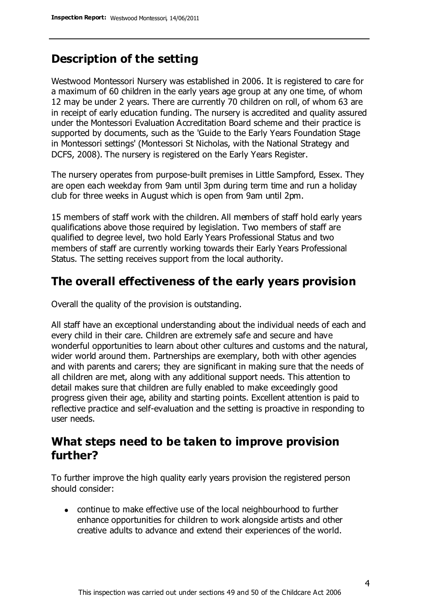## **Description of the setting**

Westwood Montessori Nursery was established in 2006. It is registered to care for a maximum of 60 children in the early years age group at any one time, of whom 12 may be under 2 years. There are currently 70 children on roll, of whom 63 are in receipt of early education funding. The nursery is accredited and quality assured under the Montessori Evaluation Accreditation Board scheme and their practice is supported by documents, such as the 'Guide to the Early Years Foundation Stage in Montessori settings' (Montessori St Nicholas, with the National Strategy and DCFS, 2008). The nursery is registered on the Early Years Register.

The nursery operates from purpose-built premises in Little Sampford, Essex. They are open each weekday from 9am until 3pm during term time and run a holiday club for three weeks in August which is open from 9am until 2pm.

15 members of staff work with the children. All members of staff hold early years qualifications above those required by legislation. Two members of staff are qualified to degree level, two hold Early Years Professional Status and two members of staff are currently working towards their Early Years Professional Status. The setting receives support from the local authority.

#### **The overall effectiveness of the early years provision**

Overall the quality of the provision is outstanding.

All staff have an exceptional understanding about the individual needs of each and every child in their care. Children are extremely safe and secure and have wonderful opportunities to learn about other cultures and customs and the natural, wider world around them. Partnerships are exemplary, both with other agencies and with parents and carers; they are significant in making sure that the needs of all children are met, along with any additional support needs. This attention to detail makes sure that children are fully enabled to make exceedingly good progress given their age, ability and starting points. Excellent attention is paid to reflective practice and self-evaluation and the setting is proactive in responding to user needs.

### **What steps need to be taken to improve provision further?**

To further improve the high quality early years provision the registered person should consider:

continue to make effective use of the local neighbourhood to further enhance opportunities for children to work alongside artists and other creative adults to advance and extend their experiences of the world.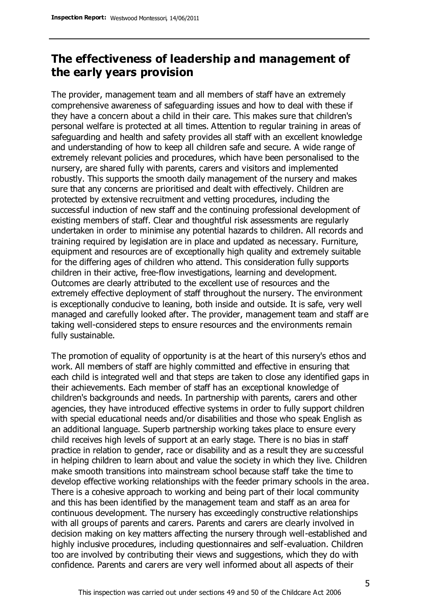## **The effectiveness of leadership and management of the early years provision**

The provider, management team and all members of staff have an extremely comprehensive awareness of safeguarding issues and how to deal with these if they have a concern about a child in their care. This makes sure that children's personal welfare is protected at all times. Attention to regular training in areas of safeguarding and health and safety provides all staff with an excellent knowledge and understanding of how to keep all children safe and secure. A wide range of extremely relevant policies and procedures, which have been personalised to the nursery, are shared fully with parents, carers and visitors and implemented robustly. This supports the smooth daily management of the nursery and makes sure that any concerns are prioritised and dealt with effectively. Children are protected by extensive recruitment and vetting procedures, including the successful induction of new staff and the continuing professional development of existing members of staff. Clear and thoughtful risk assessments are regularly undertaken in order to minimise any potential hazards to children. All records and training required by legislation are in place and updated as necessary. Furniture, equipment and resources are of exceptionally high quality and extremely suitable for the differing ages of children who attend. This consideration fully supports children in their active, free-flow investigations, learning and development. Outcomes are clearly attributed to the excellent use of resources and the extremely effective deployment of staff throughout the nursery. The environment is exceptionally conducive to leaning, both inside and outside. It is safe, very well managed and carefully looked after. The provider, management team and staff are taking well-considered steps to ensure resources and the environments remain fully sustainable.

The promotion of equality of opportunity is at the heart of this nursery's ethos and work. All members of staff are highly committed and effective in ensuring that each child is integrated well and that steps are taken to close any identified gaps in their achievements. Each member of staff has an exceptional knowledge of children's backgrounds and needs. In partnership with parents, carers and other agencies, they have introduced effective systems in order to fully support children with special educational needs and/or disabilities and those who speak English as an additional language. Superb partnership working takes place to ensure every child receives high levels of support at an early stage. There is no bias in staff practice in relation to gender, race or disability and as a result they are successful in helping children to learn about and value the society in which they live. Children make smooth transitions into mainstream school because staff take the time to develop effective working relationships with the feeder primary schools in the area. There is a cohesive approach to working and being part of their local community and this has been identified by the management team and staff as an area for continuous development. The nursery has exceedingly constructive relationships with all groups of parents and carers. Parents and carers are clearly involved in decision making on key matters affecting the nursery through well-established and highly inclusive procedures, including questionnaires and self-evaluation. Children too are involved by contributing their views and suggestions, which they do with confidence. Parents and carers are very well informed about all aspects of their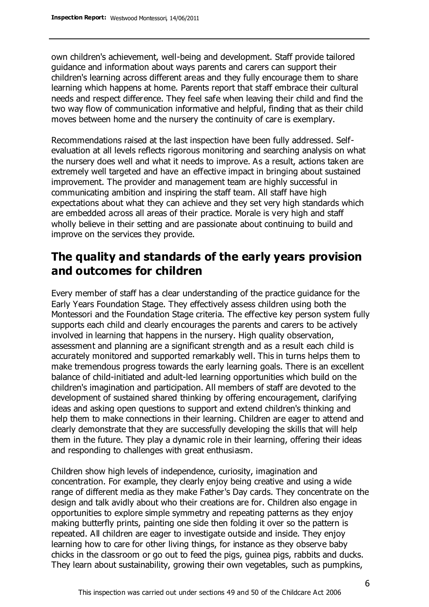own children's achievement, well-being and development. Staff provide tailored guidance and information about ways parents and carers can support their children's learning across different areas and they fully encourage them to share learning which happens at home. Parents report that staff embrace their cultural needs and respect difference. They feel safe when leaving their child and find the two way flow of communication informative and helpful, finding that as their child moves between home and the nursery the continuity of care is exemplary.

Recommendations raised at the last inspection have been fully addressed. Selfevaluation at all levels reflects rigorous monitoring and searching analysis on what the nursery does well and what it needs to improve. As a result, actions taken are extremely well targeted and have an effective impact in bringing about sustained improvement. The provider and management team are highly successful in communicating ambition and inspiring the staff team. All staff have high expectations about what they can achieve and they set very high standards which are embedded across all areas of their practice. Morale is very high and staff wholly believe in their setting and are passionate about continuing to build and improve on the services they provide.

## **The quality and standards of the early years provision and outcomes for children**

Every member of staff has a clear understanding of the practice guidance for the Early Years Foundation Stage. They effectively assess children using both the Montessori and the Foundation Stage criteria. The effective key person system fully supports each child and clearly encourages the parents and carers to be actively involved in learning that happens in the nursery. High quality observation, assessment and planning are a significant strength and as a result each child is accurately monitored and supported remarkably well. This in turns helps them to make tremendous progress towards the early learning goals. There is an excellent balance of child-initiated and adult-led learning opportunities which build on the children's imagination and participation. All members of staff are devoted to the development of sustained shared thinking by offering encouragement, clarifying ideas and asking open questions to support and extend children's thinking and help them to make connections in their learning. Children are eager to attend and clearly demonstrate that they are successfully developing the skills that will help them in the future. They play a dynamic role in their learning, offering their ideas and responding to challenges with great enthusiasm.

Children show high levels of independence, curiosity, imagination and concentration. For example, they clearly enjoy being creative and using a wide range of different media as they make Father's Day cards. They concentrate on the design and talk avidly about who their creations are for. Children also engage in opportunities to explore simple symmetry and repeating patterns as they enjoy making butterfly prints, painting one side then folding it over so the pattern is repeated. All children are eager to investigate outside and inside. They enjoy learning how to care for other living things, for instance as they observe baby chicks in the classroom or go out to feed the pigs, guinea pigs, rabbits and ducks. They learn about sustainability, growing their own vegetables, such as pumpkins,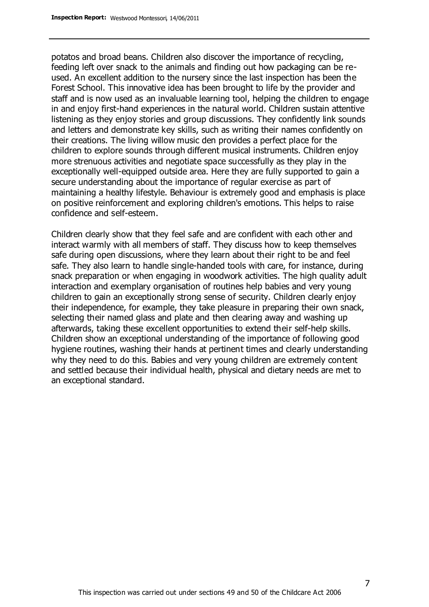potatos and broad beans. Children also discover the importance of recycling, feeding left over snack to the animals and finding out how packaging can be reused. An excellent addition to the nursery since the last inspection has been the Forest School. This innovative idea has been brought to life by the provider and staff and is now used as an invaluable learning tool, helping the children to engage in and enjoy first-hand experiences in the natural world. Children sustain attentive listening as they enjoy stories and group discussions. They confidently link sounds and letters and demonstrate key skills, such as writing their names confidently on their creations. The living willow music den provides a perfect place for the children to explore sounds through different musical instruments. Children enjoy more strenuous activities and negotiate space successfully as they play in the exceptionally well-equipped outside area. Here they are fully supported to gain a secure understanding about the importance of regular exercise as part of maintaining a healthy lifestyle. Behaviour is extremely good and emphasis is place on positive reinforcement and exploring children's emotions. This helps to raise confidence and self-esteem.

Children clearly show that they feel safe and are confident with each other and interact warmly with all members of staff. They discuss how to keep themselves safe during open discussions, where they learn about their right to be and feel safe. They also learn to handle single-handed tools with care, for instance, during snack preparation or when engaging in woodwork activities. The high quality adult interaction and exemplary organisation of routines help babies and very young children to gain an exceptionally strong sense of security. Children clearly enjoy their independence, for example, they take pleasure in preparing their own snack, selecting their named glass and plate and then clearing away and washing up afterwards, taking these excellent opportunities to extend their self-help skills. Children show an exceptional understanding of the importance of following good hygiene routines, washing their hands at pertinent times and clearly understanding why they need to do this. Babies and very young children are extremely content and settled because their individual health, physical and dietary needs are met to an exceptional standard.